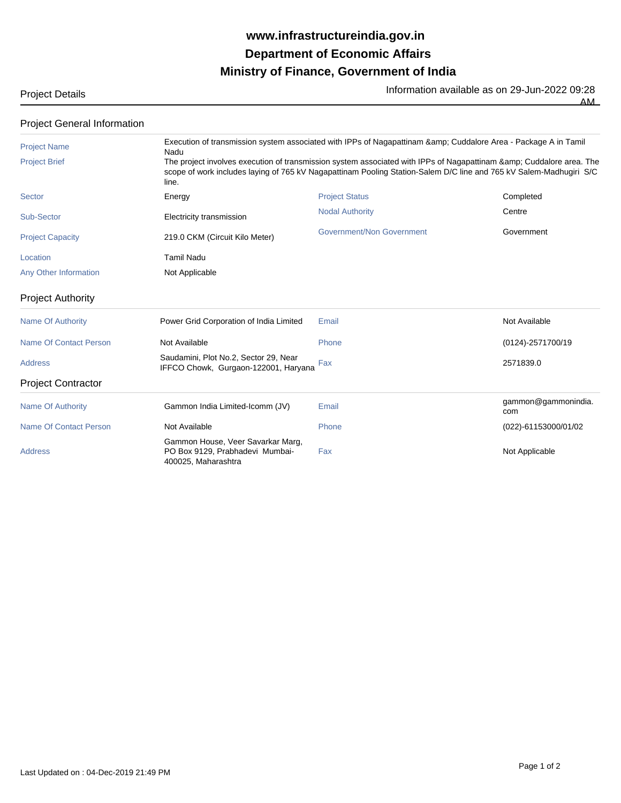## **Ministry of Finance, Government of India Department of Economic Affairs www.infrastructureindia.gov.in**

Project Details Information available as on 29-Jun-2022 09:28

|  |  | <b>Project Details</b> |  |  |  |
|--|--|------------------------|--|--|--|
|--|--|------------------------|--|--|--|

| . . |  |
|-----|--|

|  | <b>Project General Information</b> |
|--|------------------------------------|
|--|------------------------------------|

| <b>Project Name</b>           | Execution of transmission system associated with IPPs of Nagapattinam & Cuddalore Area - Package A in Tamil<br>Nadu                                                                                                                             |                                  |                            |  |  |
|-------------------------------|-------------------------------------------------------------------------------------------------------------------------------------------------------------------------------------------------------------------------------------------------|----------------------------------|----------------------------|--|--|
| <b>Project Brief</b>          | The project involves execution of transmission system associated with IPPs of Nagapattinam & Cuddalore area. The<br>scope of work includes laying of 765 kV Nagapattinam Pooling Station-Salem D/C line and 765 kV Salem-Madhugiri S/C<br>line. |                                  |                            |  |  |
| Sector                        | Energy                                                                                                                                                                                                                                          | <b>Project Status</b>            | Completed                  |  |  |
| Sub-Sector                    | <b>Electricity transmission</b>                                                                                                                                                                                                                 | <b>Nodal Authority</b>           | Centre                     |  |  |
| <b>Project Capacity</b>       | 219.0 CKM (Circuit Kilo Meter)                                                                                                                                                                                                                  | <b>Government/Non Government</b> | Government                 |  |  |
| Location                      | <b>Tamil Nadu</b>                                                                                                                                                                                                                               |                                  |                            |  |  |
| Any Other Information         | Not Applicable                                                                                                                                                                                                                                  |                                  |                            |  |  |
| <b>Project Authority</b>      |                                                                                                                                                                                                                                                 |                                  |                            |  |  |
| <b>Name Of Authority</b>      | Power Grid Corporation of India Limited                                                                                                                                                                                                         | Email                            | Not Available              |  |  |
| <b>Name Of Contact Person</b> | Not Available                                                                                                                                                                                                                                   | Phone                            | (0124)-2571700/19          |  |  |
| <b>Address</b>                | Saudamini, Plot No.2, Sector 29, Near<br>IFFCO Chowk, Gurgaon-122001, Haryana                                                                                                                                                                   | Fax                              | 2571839.0                  |  |  |
| <b>Project Contractor</b>     |                                                                                                                                                                                                                                                 |                                  |                            |  |  |
| <b>Name Of Authority</b>      | Gammon India Limited-Icomm (JV)                                                                                                                                                                                                                 | Email                            | gammon@gammonindia.<br>com |  |  |
| Name Of Contact Person        | Not Available                                                                                                                                                                                                                                   | Phone                            | (022)-61153000/01/02       |  |  |
| <b>Address</b>                | Gammon House, Veer Savarkar Marg,<br>PO Box 9129, Prabhadevi Mumbai-<br>400025, Maharashtra                                                                                                                                                     | Fax                              | Not Applicable             |  |  |